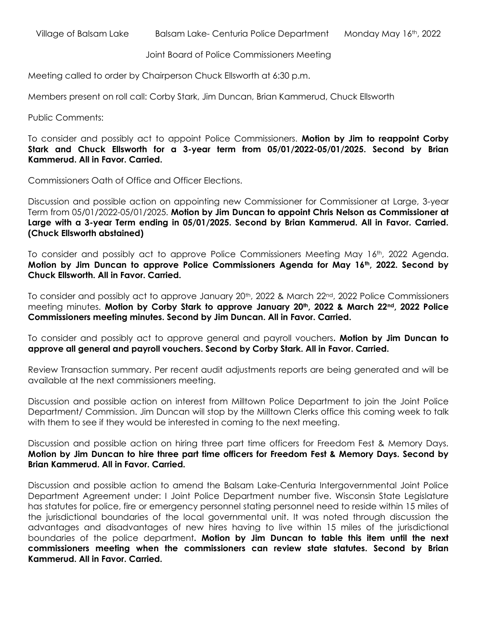Joint Board of Police Commissioners Meeting

Meeting called to order by Chairperson Chuck Ellsworth at 6:30 p.m.

Members present on roll call: Corby Stark, Jim Duncan, Brian Kammerud, Chuck Ellsworth

Public Comments:

To consider and possibly act to appoint Police Commissioners. **Motion by Jim to reappoint Corby Stark and Chuck Ellsworth for a 3-year term from 05/01/2022-05/01/2025. Second by Brian Kammerud. All in Favor. Carried.**

Commissioners Oath of Office and Officer Elections.

Discussion and possible action on appointing new Commissioner for Commissioner at Large, 3-year Term from 05/01/2022-05/01/2025. **Motion by Jim Duncan to appoint Chris Nelson as Commissioner at Large with a 3-year Term ending in 05/01/2025. Second by Brian Kammerud. All in Favor. Carried. (Chuck Ellsworth abstained)**

To consider and possibly act to approve Police Commissioners Meeting May 16th, 2022 Agenda. **Motion by Jim Duncan to approve Police Commissioners Agenda for May 16th, 2022. Second by Chuck Ellsworth. All in Favor. Carried.**

To consider and possibly act to approve January 20<sup>th</sup>, 2022 & March 22<sup>nd</sup>, 2022 Police Commissioners meeting minutes. **Motion by Corby Stark to approve January 20th, 2022 & March 22nd, 2022 Police Commissioners meeting minutes. Second by Jim Duncan. All in Favor. Carried.**

To consider and possibly act to approve general and payroll vouchers**. Motion by Jim Duncan to approve all general and payroll vouchers. Second by Corby Stark. All in Favor. Carried.**

Review Transaction summary. Per recent audit adjustments reports are being generated and will be available at the next commissioners meeting.

Discussion and possible action on interest from Milltown Police Department to join the Joint Police Department/ Commission. Jim Duncan will stop by the Milltown Clerks office this coming week to talk with them to see if they would be interested in coming to the next meeting.

Discussion and possible action on hiring three part time officers for Freedom Fest & Memory Days. **Motion by Jim Duncan to hire three part time officers for Freedom Fest & Memory Days. Second by Brian Kammerud. All in Favor. Carried.**

Discussion and possible action to amend the Balsam Lake-Centuria Intergovernmental Joint Police Department Agreement under: I Joint Police Department number five. Wisconsin State Legislature has statutes for police, fire or emergency personnel stating personnel need to reside within 15 miles of the jurisdictional boundaries of the local governmental unit. It was noted through discussion the advantages and disadvantages of new hires having to live within 15 miles of the jurisdictional boundaries of the police department**. Motion by Jim Duncan to table this item until the next commissioners meeting when the commissioners can review state statutes. Second by Brian Kammerud. All in Favor. Carried.**